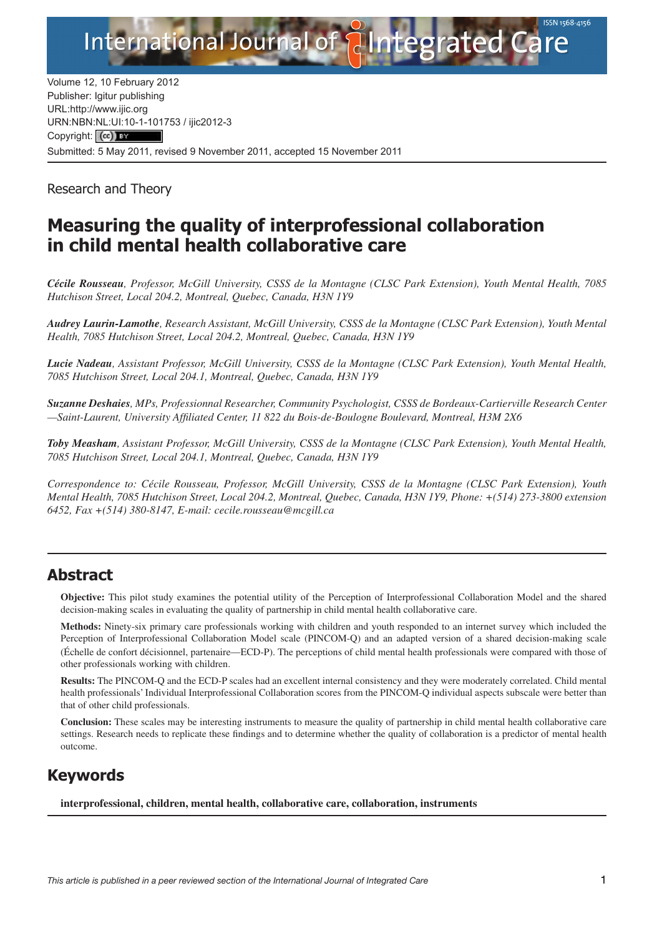

Volume 12, 10 February 2012 Publisher: Igitur publishing URL[:http://www.ijic.org](http://www.ijic.org) URN:NBN[:NL:UI:10-1-1017](http://creativecommons.org/licenses/by/3.0/)53 / ijic2012-3 Copyright: (cc) BY Submitted: 5 May 2011, revised 9 November 2011, accepted 15 November 2011

Research and Theory

# **Measuring the quality of interprofessional collaboration in child mental health collaborative care**

*Cécile Rousseau, Professor, McGill University, CSSS de la Montagne (CLSC Park Extension), Youth Mental Health, 7085 Hutchison Street, Local 204.2, Montreal, Quebec, Canada, H3N 1Y9*

*Audrey Laurin-Lamothe, Research Assistant, McGill University, CSSS de la Montagne (CLSC Park Extension), Youth Mental Health, 7085 Hutchison Street, Local 204.2, Montreal, Quebec, Canada, H3N 1Y9*

*Lucie Nadeau, Assistant Professor, McGill University, CSSS de la Montagne (CLSC Park Extension), Youth Mental Health, 7085 Hutchison Street, Local 204.1, Montreal, Quebec, Canada, H3N 1Y9*

*Suzanne Deshaies, MPs, Professionnal Researcher, Community Psychologist, CSSS de Bordeaux-Cartierville Research Center —Saint-Laurent, University Affiliated Center, 11 822 du Bois-de-Boulogne Boulevard, Montreal, H3M 2X6*

*Toby Measham, Assistant Professor, McGill University, CSSS de la Montagne (CLSC Park Extension), Youth Mental Health, 7085 Hutchison Street, Local 204.1, Montreal, Quebec, Canada, H3N 1Y9*

*Correspondence to: Cécile Rousseau, Professor, McGill University, CSSS de la Montagne (CLSC Park Extension), Youth Mental Health, 7085 Hutchison Street, Local 204.2, Montreal, Quebec, Canada, H3N 1Y9, Phone: +(514) 273-3800 extension 6452, Fax +(514) 380-8147, E-mail: [cecile.rousseau@mcgill.ca](mailto:cecile.rousseau@mcgill.ca)*

### **Abstract**

**Objective:** This pilot study examines the potential utility of the Perception of Interprofessional Collaboration Model and the shared decision-making scales in evaluating the quality of partnership in child mental health collaborative care.

**Methods:** Ninety-six primary care professionals working with children and youth responded to an internet survey which included the Perception of Interprofessional Collaboration Model scale (PINCOM-Q) and an adapted version of a shared decision-making scale (Échelle de confort décisionnel, partenaire*—*ECD-P). The perceptions of child mental health professionals were compared with those of other professionals working with children.

**Results:** The PINCOM-Q and the ECD-P scales had an excellent internal consistency and they were moderately correlated. Child mental health professionals' Individual Interprofessional Collaboration scores from the PINCOM-Q individual aspects subscale were better than that of other child professionals.

**Conclusion:** These scales may be interesting instruments to measure the quality of partnership in child mental health collaborative care settings. Research needs to replicate these findings and to determine whether the quality of collaboration is a predictor of mental health outcome.

# **Keywords**

**interprofessional, children, mental health, collaborative care, collaboration, instruments**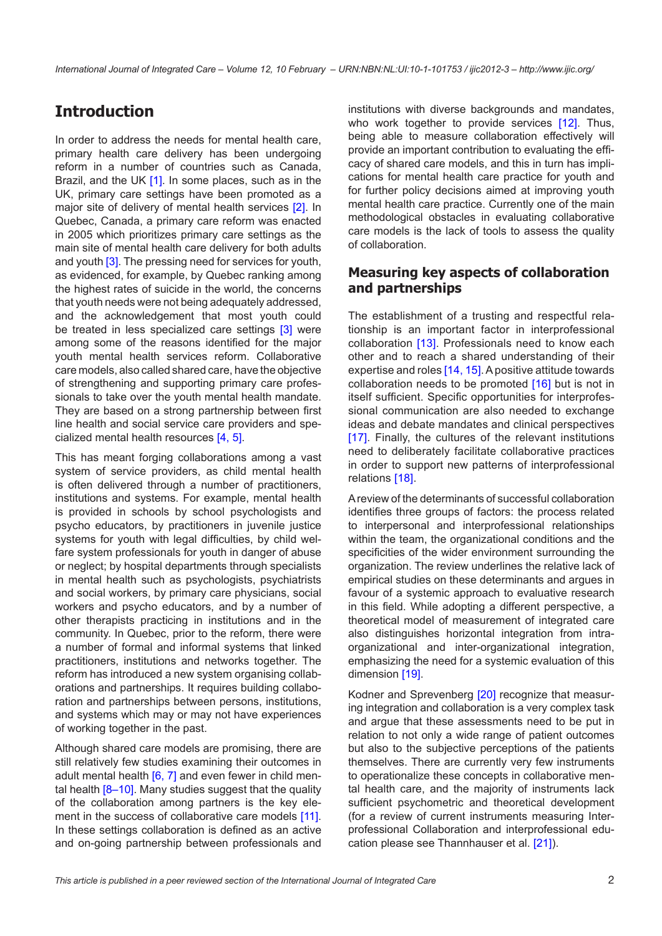## **Introduction**

In order to address the needs for mental health care, primary health care delivery has been undergoing reform in a number of countries such as Canada, Brazil, and the UK [[1](#page-6-0)]. In some places, such as in the UK, primary care settings have been promoted as a major site of delivery of mental health services [\[2\]](#page-6-0). In Quebec, Canada, a primary care reform was enacted in 2005 which prioritizes primary care settings as the main site of mental health care delivery for both adults and youth [\[3\]](#page-6-0). The pressing need for services for youth, as evidenced, for example, by Quebec ranking among the highest rates of suicide in the world, the concerns that youth needs were not being adequately addressed, and the acknowledgement that most youth could be treated in less specialized care settings [[3](#page-6-0)] were among some of the reasons identified for the major youth mental health services reform. Collaborative care models, also called shared care, have the objective of strengthening and supporting primary care professionals to take over the youth mental health mandate. They are based on a strong partnership between first line health and social service care providers and specialized mental health resources [\[4, 5\]](#page-6-0).

This has meant forging collaborations among a vast system of service providers, as child mental health is often delivered through a number of practitioners, institutions and systems. For example, mental health is provided in schools by school psychologists and psycho educators, by practitioners in juvenile justice systems for youth with legal difficulties, by child welfare system professionals for youth in danger of abuse or neglect; by hospital departments through specialists in mental health such as psychologists, psychiatrists and social workers, by primary care physicians, social workers and psycho educators, and by a number of other therapists practicing in institutions and in the community. In Quebec, prior to the reform, there were a number of formal and informal systems that linked practitioners, institutions and networks together. The reform has introduced a new system organising collaborations and partnerships. It requires building collaboration and partnerships between persons, institutions, and systems which may or may not have experiences of working together in the past.

Although shared care models are promising, there are still relatively few studies examining their outcomes in adult mental health  $[6, 7]$  $[6, 7]$  $[6, 7]$  $[6, 7]$  and even fewer in child mental health  $[8-10]$ . Many studies suggest that the quality of the collaboration among partners is the key element in the success of collaborative care models [\[11\]](#page-6-0). In these settings collaboration is defined as an active and on-going partnership between professionals and institutions with diverse backgrounds and mandates, who work together to provide services [\[12](#page-6-0)]. Thus, being able to measure collaboration effectively will provide an important contribution to evaluating the efficacy of shared care models, and this in turn has implications for mental health care practice for youth and for further policy decisions aimed at improving youth mental health care practice. Currently one of the main methodological obstacles in evaluating collaborative care models is the lack of tools to assess the quality of collaboration.

#### **Measuring key aspects of collaboration and partnerships**

The establishment of a trusting and respectful relationship is an important factor in interprofessional collaboration [[13](#page-6-0)]. Professionals need to know each other and to reach a shared understanding of their expertise and roles [\[14, 15\]](#page-6-0). A positive attitude towards collaboration needs to be promoted [\[16\]](#page-6-0) but is not in itself sufficient. Specific opportunities for interprofessional communication are also needed to exchange ideas and debate mandates and clinical perspectives [[17](#page-6-0)]. Finally, the cultures of the relevant institutions need to deliberately facilitate collaborative practices in order to support new patterns of interprofessional relations [[18\]](#page-6-0).

A review of the determinants of successful collaboration identifies three groups of factors: the process related to interpersonal and interprofessional relationships within the team, the organizational conditions and the specificities of the wider environment surrounding the organization. The review underlines the relative lack of empirical studies on these determinants and argues in favour of a systemic approach to evaluative research in this field. While adopting a different perspective, a theoretical model of measurement of integrated care also distinguishes horizontal integration from intraorganizational and inter-organizational integration, emphasizing the need for a systemic evaluation of this dimension [\[19](#page-6-0)].

Kodner and Sprevenberg [\[20](#page-6-0)] recognize that measuring integration and collaboration is a very complex task and argue that these assessments need to be put in relation to not only a wide range of patient outcomes but also to the subjective perceptions of the patients themselves. There are currently very few instruments to operationalize these concepts in collaborative mental health care, and the majority of instruments lack sufficient psychometric and theoretical development (for a review of current instruments measuring Interprofessional Collaboration and interprofessional education please see Thannhauser et al. [[21\]](#page-6-0)).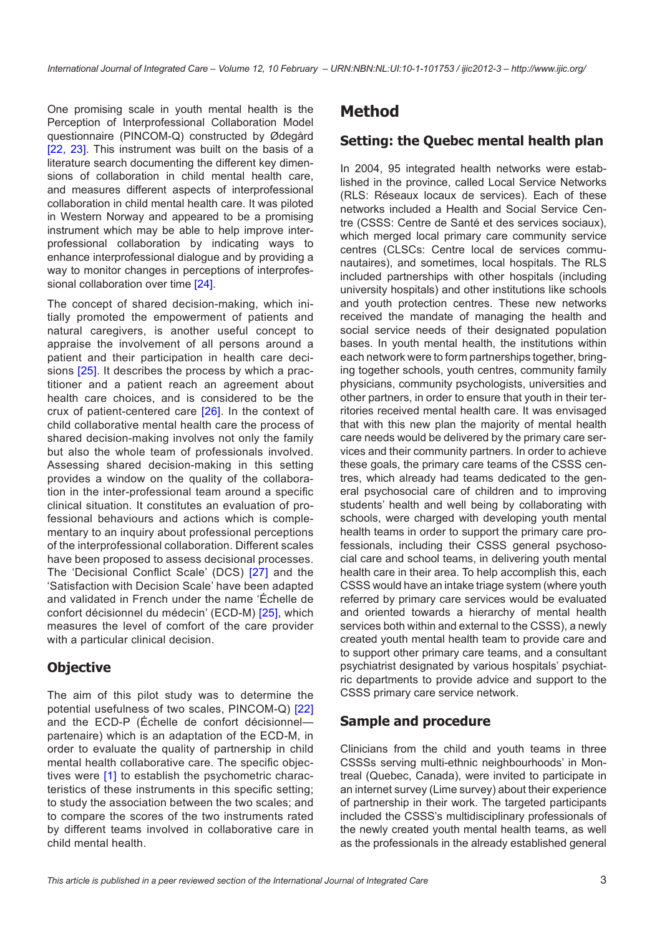One promising scale in youth mental health is the Perception of Interprofessional Collaboration Model questionnaire (PINCOM-Q) constructed by Ødegård [\[22](#page-6-0), [23\]](#page-6-0). This instrument was built on the basis of a literature search documenting the different key dimensions of collaboration in child mental health care, and measures different aspects of interprofessional collaboration in child mental health care. It was piloted in Western Norway and appeared to be a promising instrument which may be able to help improve interprofessional collaboration by indicating ways to enhance interprofessional dialogue and by providing a way to monitor changes in perceptions of interprofessional collaboration over time [[24\]](#page-6-0).

The concept of shared decision-making, which initially promoted the empowerment of patients and natural caregivers, is another useful concept to appraise the involvement of all persons around a patient and their participation in health care decisions [[25](#page-6-0)]. It describes the process by which a practitioner and a patient reach an agreement about health care choices, and is considered to be the crux of patient-centered care [[26\]](#page-6-0). In the context of child collaborative mental health care the process of shared decision-making involves not only the family but also the whole team of professionals involved. Assessing shared decision-making in this setting provides a window on the quality of the collaboration in the inter-professional team around a specific clinical situation. It constitutes an evaluation of professional behaviours and actions which is complementary to an inquiry about professional perceptions of the interprofessional collaboration. Different scales have been proposed to assess decisional processes. The 'Decisional Conflict Scale' (DCS) [[27](#page-6-0)] and the 'Satisfaction with Decision Scale' have been adapted and validated in French under the name 'Échelle de confort décisionnel du médecin' (ECD-M) [[25](#page-6-0)], which measures the level of comfort of the care provider with a particular clinical decision.

### **Objective**

The aim of this pilot study was to determine the potential usefulness of two scales, PINCOM-Q) [[22](#page-6-0)] and the ECD-P (Échelle de confort décisionnel partenaire) which is an adaptation of the ECD-M, in order to evaluate the quality of partnership in child mental health collaborative care. The specific objectives were [\[1](#page-6-0)] to establish the psychometric characteristics of these instruments in this specific setting; to study the association between the two scales; and to compare the scores of the two instruments rated by different teams involved in collaborative care in child mental health.

### **Method**

#### **Setting: the Quebec mental health plan**

In 2004, 95 integrated health networks were established in the province, called Local Service Networks (RLS: Réseaux locaux de services). Each of these networks included a Health and Social Service Centre (CSSS: Centre de Santé et des services sociaux), which merged local primary care community service centres (CLSCs: Centre local de services communautaires), and sometimes, local hospitals. The RLS included partnerships with other hospitals (including university hospitals) and other institutions like schools and youth protection centres. These new networks received the mandate of managing the health and social service needs of their designated population bases. In youth mental health, the institutions within each network were to form partnerships together, bringing together schools, youth centres, community family physicians, community psychologists, universities and other partners, in order to ensure that youth in their territories received mental health care. It was envisaged that with this new plan the majority of mental health care needs would be delivered by the primary care services and their community partners. In order to achieve these goals, the primary care teams of the CSSS centres, which already had teams dedicated to the general psychosocial care of children and to improving students' health and well being by collaborating with schools, were charged with developing youth mental health teams in order to support the primary care professionals, including their CSSS general psychosocial care and school teams, in delivering youth mental health care in their area. To help accomplish this, each CSSS would have an intake triage system (where youth referred by primary care services would be evaluated and oriented towards a hierarchy of mental health services both within and external to the CSSS), a newly created youth mental health team to provide care and to support other primary care teams, and a consultant psychiatrist designated by various hospitals' psychiatric departments to provide advice and support to the CSSS primary care service network.

#### **Sample and procedure**

Clinicians from the child and youth teams in three CSSSs serving multi-ethnic neighbourhoods' in Montreal (Quebec, Canada), were invited to participate in an internet survey (Lime survey) about their experience of partnership in their work. The targeted participants included the CSSS's multidisciplinary professionals of the newly created youth mental health teams, as well as the professionals in the already established general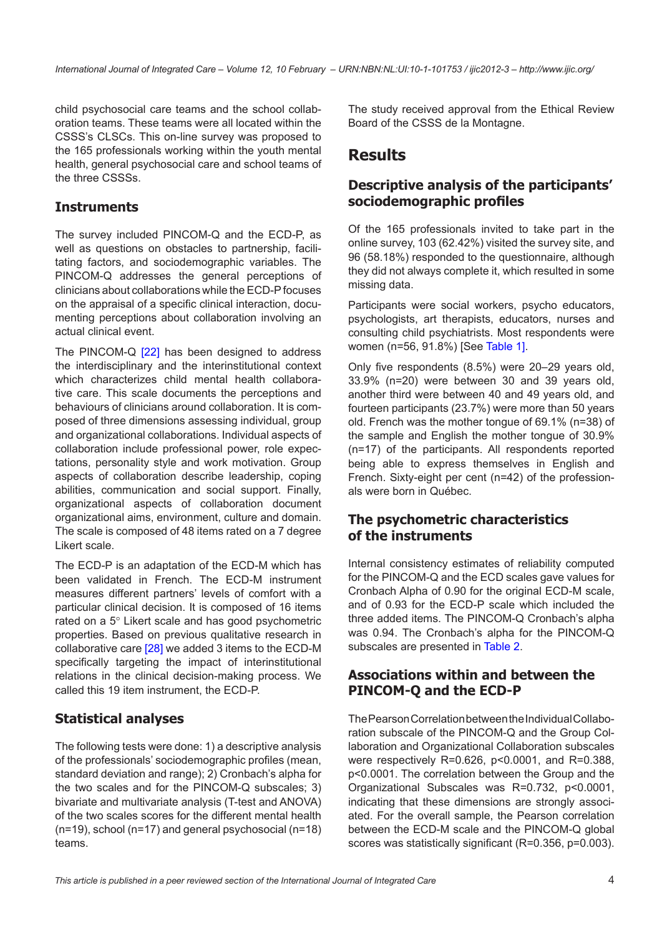child psychosocial care teams and the school collaboration teams. These teams were all located within the CSSS's CLSCs. This on-line survey was proposed to the 165 professionals working within the youth mental health, general psychosocial care and school teams of the three CSSSs.

### **Instruments**

The survey included PINCOM-Q and the ECD-P, as well as questions on obstacles to partnership, facilitating factors, and sociodemographic variables. The PINCOM-Q addresses the general perceptions of clinicians about collaborations while the ECD-P focuses on the appraisal of a specific clinical interaction, documenting perceptions about collaboration involving an actual clinical event.

The PINCOM-Q [[22\]](#page-6-0) has been designed to address the interdisciplinary and the interinstitutional context which characterizes child mental health collaborative care. This scale documents the perceptions and behaviours of clinicians around collaboration. It is composed of three dimensions assessing individual, group and organizational collaborations. Individual aspects of collaboration include professional power, role expectations, personality style and work motivation. Group aspects of collaboration describe leadership, coping abilities, communication and social support. Finally, organizational aspects of collaboration document organizational aims, environment, culture and domain. The scale is composed of 48 items rated on a 7 degree Likert scale.

The ECD-P is an adaptation of the ECD-M which has been validated in French. The ECD-M instrument measures different partners' levels of comfort with a particular clinical decision. It is composed of 16 items rated on a 5° Likert scale and has good psychometric properties. Based on previous qualitative research in collaborative care [[28](#page-7-0)] we added 3 items to the ECD-M specifically targeting the impact of interinstitutional relations in the clinical decision-making process. We called this 19 item instrument, the ECD-P.

### **Statistical analyses**

The following tests were done: 1) a descriptive analysis of the professionals' sociodemographic profiles (mean, standard deviation and range); 2) Cronbach's alpha for the two scales and for the PINCOM-Q subscales; 3) bivariate and multivariate analysis (T-test and ANOVA) of the two scales scores for the different mental health (n=19), school (n=17) and general psychosocial (n=18) teams.

The study received approval from the Ethical Review Board of the CSSS de la Montagne.

### **Results**

### **Descriptive analysis of the participants' sociodemographic profiles**

Of the 165 professionals invited to take part in the online survey, 103 (62.42%) visited the survey site, and 96 (58.18%) responded to the questionnaire, although they did not always complete it, which resulted in some missing data.

Participants were social workers, psycho educators, psychologists, art therapists, educators, nurses and consulting child psychiatrists. Most respondents were women (n=56, 91.8%) [See [Table 1\]](#page-4-0).

Only five respondents (8.5%) were 20–29 years old, 33.9% (n=20) were between 30 and 39 years old, another third were between 40 and 49 years old, and fourteen participants (23.7%) were more than 50 years old. French was the mother tongue of 69.1% (n=38) of the sample and English the mother tongue of 30.9% (n=17) of the participants. All respondents reported being able to express themselves in English and French. Sixty-eight per cent (n=42) of the professionals were born in Québec.

#### **The psychometric characteristics of the instruments**

Internal consistency estimates of reliability computed for the PINCOM-Q and the ECD scales gave values for Cronbach Alpha of 0.90 for the original ECD-M scale, and of 0.93 for the ECD-P scale which included the three added items. The PINCOM-Q Cronbach's alpha was 0.94. The Cronbach's alpha for the PINCOM-Q subscales are presented in [Table 2.](#page-5-0)

### **Associations within and between the PINCOM-Q and the ECD-P**

The Pearson Correlation between the Individual Collaboration subscale of the PINCOM-Q and the Group Collaboration and Organizational Collaboration subscales were respectively R=0.626, p<0.0001, and R=0.388, p<0.0001. The correlation between the Group and the Organizational Subscales was R=0.732, p<0.0001, indicating that these dimensions are strongly associated. For the overall sample, the Pearson correlation between the ECD-M scale and the PINCOM-Q global scores was statistically significant (R=0.356, p=0.003).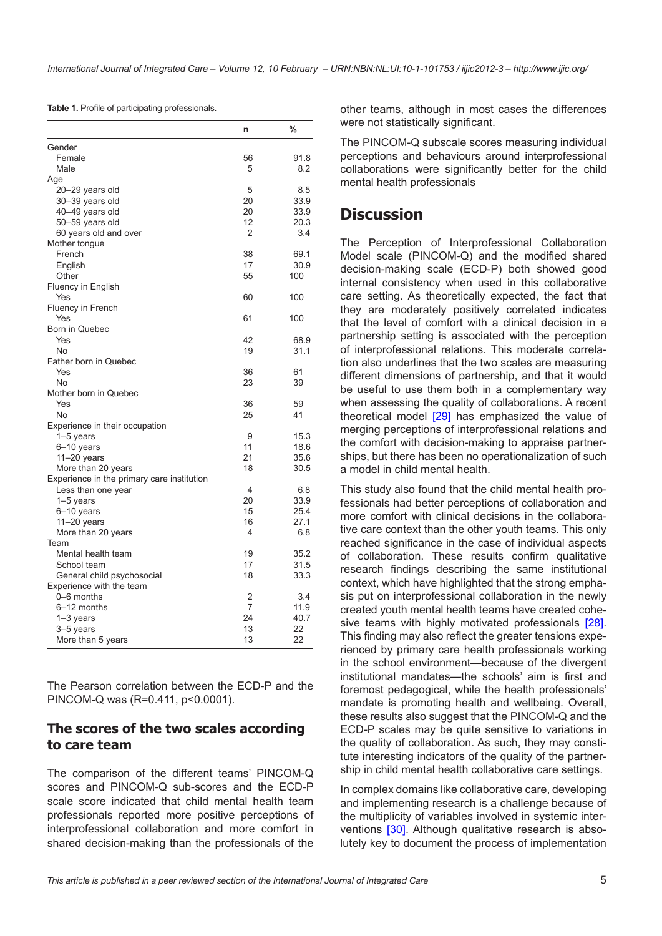<span id="page-4-0"></span>**Table 1.** Profile of participating professionals.

|                                            | n  | %           |
|--------------------------------------------|----|-------------|
| Gender                                     |    |             |
| Female                                     | 56 | 91.8        |
| Male                                       | 5  | 8.2         |
| Age                                        |    |             |
| 20-29 years old                            | 5  | 8.5         |
| 30-39 years old                            | 20 | 33.9        |
| 40-49 years old                            | 20 | 33.9        |
| 50–59 years old                            | 12 | 20.3        |
| 60 years old and over                      | 2  | 3.4         |
| Mother tongue                              |    |             |
| French                                     | 38 | 69.1        |
| English                                    | 17 | 30.9        |
| Other                                      | 55 | 100         |
| Fluency in English                         |    |             |
| Yes                                        | 60 | 100         |
| Fluency in French                          |    |             |
| Yes                                        | 61 | 100         |
| Born in Quebec                             |    |             |
| Yes                                        | 42 | 68.9        |
| No                                         | 19 | 31.1        |
| Father born in Quebec                      |    |             |
| Yes                                        | 36 | 61          |
| <b>No</b>                                  | 23 | 39          |
| Mother born in Quebec                      |    |             |
| Yes                                        | 36 | 59          |
| No                                         | 25 | 41          |
| Experience in their occupation             |    |             |
| $1-5$ years                                | 9  | 15.3        |
| 6-10 years                                 | 11 | 18.6        |
| $11-20$ years                              | 21 | 35.6        |
| More than 20 years                         | 18 | 30.5        |
| Experience in the primary care institution | 4  |             |
| Less than one year<br>$1-5$ years          | 20 | 6.8<br>33.9 |
| 6-10 years                                 | 15 | 25.4        |
| $11-20$ years                              | 16 | 27.1        |
| More than 20 years                         | 4  | 6.8         |
| Team                                       |    |             |
| Mental health team                         | 19 | 35.2        |
| School team                                | 17 | 31.5        |
| General child psychosocial                 | 18 | 33.3        |
| Experience with the team                   |    |             |
| 0-6 months                                 | 2  | 3.4         |
| 6–12 months                                | 7  | 11.9        |
| $1-3$ years                                | 24 | 40.7        |
| 3-5 years                                  | 13 | 22          |
| More than 5 years                          | 13 | 22          |

The Pearson correlation between the ECD-P and the PINCOM-Q was (R=0.411, p<0.0001).

#### **The scores of the two scales according to care team**

The comparison of the different teams' PINCOM-Q scores and PINCOM-Q sub-scores and the ECD-P scale score indicated that child mental health team professionals reported more positive perceptions of interprofessional collaboration and more comfort in shared decision-making than the professionals of the

other teams, although in most cases the differences were not statistically significant.

The PINCOM-Q subscale scores measuring individual perceptions and behaviours around interprofessional collaborations were significantly better for the child mental health professionals

## **Discussion**

The Perception of Interprofessional Collaboration Model scale (PINCOM-Q) and the modified shared decision-making scale (ECD-P) both showed good internal consistency when used in this collaborative care setting. As theoretically expected, the fact that they are moderately positively correlated indicates that the level of comfort with a clinical decision in a partnership setting is associated with the perception of interprofessional relations. This moderate correlation also underlines that the two scales are measuring different dimensions of partnership, and that it would be useful to use them both in a complementary way when assessing the quality of collaborations. A recent theoretical model [[29\]](#page-7-0) has emphasized the value of merging perceptions of interprofessional relations and the comfort with decision-making to appraise partnerships, but there has been no operationalization of such a model in child mental health.

This study also found that the child mental health professionals had better perceptions of collaboration and more comfort with clinical decisions in the collaborative care context than the other youth teams. This only reached significance in the case of individual aspects of collaboration. These results confirm qualitative research findings describing the same institutional context, which have highlighted that the strong emphasis put on interprofessional collaboration in the newly created youth mental health teams have created cohe-sive teams with highly motivated professionals [[28](#page-7-0)]. This finding may also reflect the greater tensions experienced by primary care health professionals working in the school environment—because of the divergent institutional mandates—the schools' aim is first and foremost pedagogical, while the health professionals' mandate is promoting health and wellbeing. Overall, these results also suggest that the PINCOM-Q and the ECD-P scales may be quite sensitive to variations in the quality of collaboration. As such, they may constitute interesting indicators of the quality of the partnership in child mental health collaborative care settings.

In complex domains like collaborative care, developing and implementing research is a challenge because of the multiplicity of variables involved in systemic interventions [[30](#page-7-0)]. Although qualitative research is absolutely key to document the process of implementation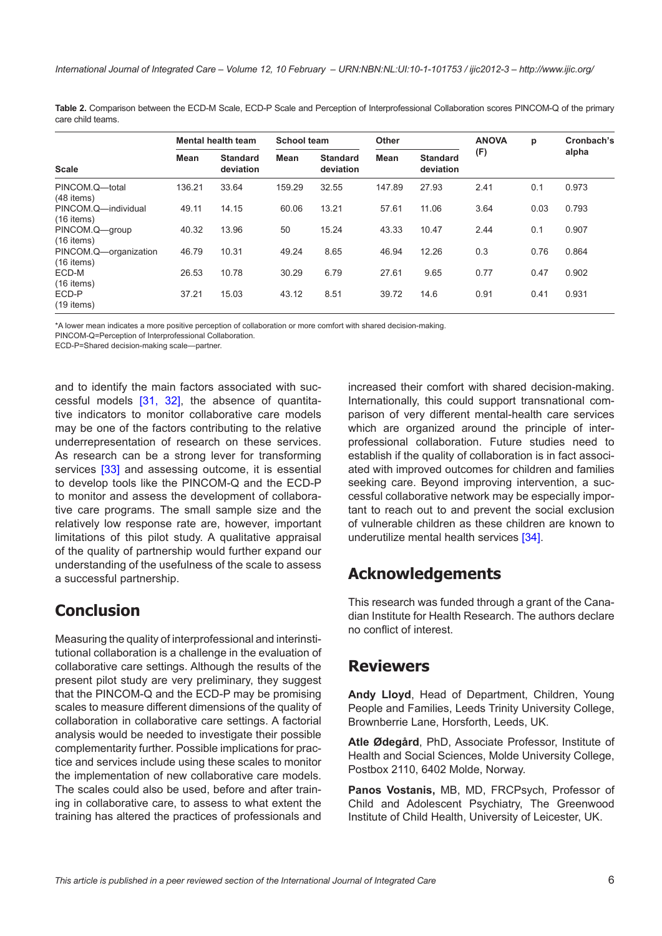<span id="page-5-0"></span>**Table 2.** Comparison between the ECD-M Scale, ECD-P Scale and Perception of Interprofessional Collaboration scores PINCOM-Q of the primary care child teams.

| <b>Scale</b>                          | <b>Mental health team</b> |                              | <b>School team</b> |                              | <b>Other</b> |                              | <b>ANOVA</b> | p    | Cronbach's |
|---------------------------------------|---------------------------|------------------------------|--------------------|------------------------------|--------------|------------------------------|--------------|------|------------|
|                                       | Mean                      | <b>Standard</b><br>deviation | Mean               | <b>Standard</b><br>deviation | <b>Mean</b>  | <b>Standard</b><br>deviation | (F)          |      | alpha      |
| PINCOM.Q-total<br>$(48$ items)        | 136.21                    | 33.64                        | 159.29             | 32.55                        | 147.89       | 27.93                        | 2.41         | 0.1  | 0.973      |
| PINCOM.Q-individual<br>$(16$ items)   | 49.11                     | 14.15                        | 60.06              | 13.21                        | 57.61        | 11.06                        | 3.64         | 0.03 | 0.793      |
| PINCOM.Q-group<br>$(16$ items)        | 40.32                     | 13.96                        | 50                 | 15.24                        | 43.33        | 10.47                        | 2.44         | 0.1  | 0.907      |
| PINCOM.Q-organization<br>$(16$ items) | 46.79                     | 10.31                        | 49.24              | 8.65                         | 46.94        | 12.26                        | 0.3          | 0.76 | 0.864      |
| ECD-M<br>$(16$ items)                 | 26.53                     | 10.78                        | 30.29              | 6.79                         | 27.61        | 9.65                         | 0.77         | 0.47 | 0.902      |
| ECD-P<br>$(19$ items)                 | 37.21                     | 15.03                        | 43.12              | 8.51                         | 39.72        | 14.6                         | 0.91         | 0.41 | 0.931      |

\*A lower mean indicates a more positive perception of collaboration or more comfort with shared decision-making.

PINCOM-Q=Perception of Interprofessional Collaboration.

ECD-P=Shared decision-making scale—partner.

and to identify the main factors associated with successful models [\[31,](#page-7-0) [32\]](#page-7-0), the absence of quantitative indicators to monitor collaborative care models may be one of the factors contributing to the relative underrepresentation of research on these services. As research can be a strong lever for transforming services [[33](#page-7-0)] and assessing outcome, it is essential to develop tools like the PINCOM-Q and the ECD-P to monitor and assess the development of collaborative care programs. The small sample size and the relatively low response rate are, however, important limitations of this pilot study. A qualitative appraisal of the quality of partnership would further expand our understanding of the usefulness of the scale to assess a successful partnership.

## **Conclusion**

Measuring the quality of interprofessional and interinstitutional collaboration is a challenge in the evaluation of collaborative care settings. Although the results of the present pilot study are very preliminary, they suggest that the PINCOM-Q and the ECD-P may be promising scales to measure different dimensions of the quality of collaboration in collaborative care settings. A factorial analysis would be needed to investigate their possible complementarity further. Possible implications for practice and services include using these scales to monitor the implementation of new collaborative care models. The scales could also be used, before and after training in collaborative care, to assess to what extent the training has altered the practices of professionals and increased their comfort with shared decision-making. Internationally, this could support transnational comparison of very different mental-health care services which are organized around the principle of interprofessional collaboration. Future studies need to establish if the quality of collaboration is in fact associated with improved outcomes for children and families seeking care. Beyond improving intervention, a successful collaborative network may be especially important to reach out to and prevent the social exclusion of vulnerable children as these children are known to underutilize mental health services [\[34](#page-7-0)].

## **Acknowledgements**

This research was funded through a grant of the Canadian Institute for Health Research. The authors declare no conflict of interest.

### **Reviewers**

**Andy Lloyd**, Head of Department, Children, Young People and Families, Leeds Trinity University College, Brownberrie Lane, Horsforth, Leeds, UK.

**Atle Ødegård**, PhD, Associate Professor, Institute of Health and Social Sciences, Molde University College, Postbox 2110, 6402 Molde, Norway.

**Panos Vostanis,** MB, MD, FRCPsych, Professor of Child and Adolescent Psychiatry, The Greenwood Institute of Child Health, University of Leicester, UK.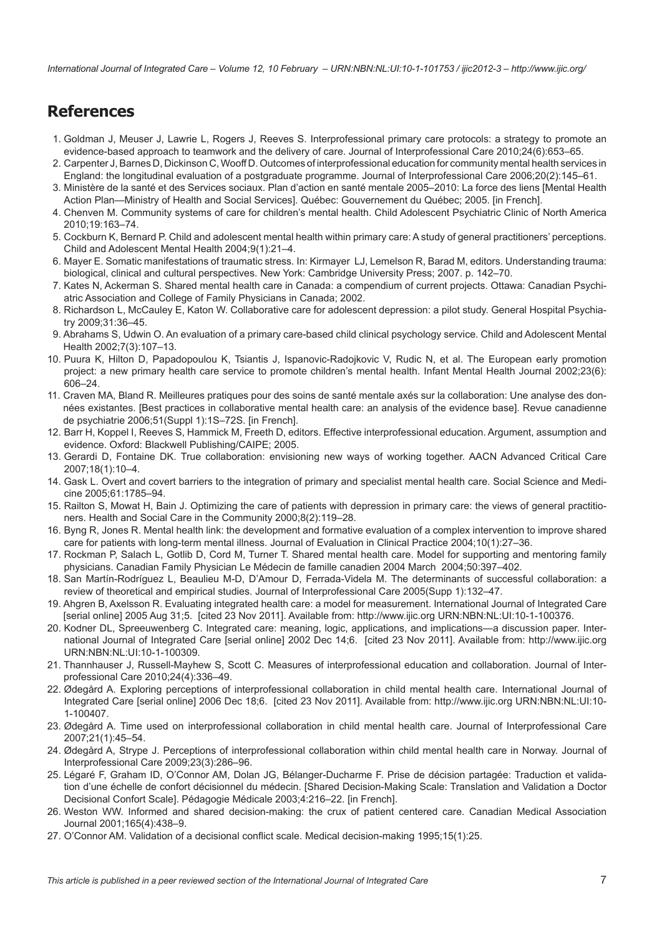<span id="page-6-0"></span>*International Journal of Integrated Care – Volume 12, 10 February – URN:NBN:NL:UI:10-1-101753 / ijic2012-3 – http://www.ijic.org/*

# **References**

- 1. Goldman J, Meuser J, Lawrie L, Rogers J, Reeves S. Interprofessional primary care protocols: a strategy to promote an evidence-based approach to teamwork and the delivery of care. Journal of Interprofessional Care 2010;24(6):653–65.
- 2. Carpenter J, Barnes D, Dickinson C, Wooff D. Outcomes of interprofessional education for community mental health services in England: the longitudinal evaluation of a postgraduate programme. Journal of Interprofessional Care 2006;20(2):145–61.
- 3. Ministère de la santé et des Services sociaux. Plan d'action en santé mentale 2005–2010: La force des liens [Mental Health Action Plan—Ministry of Health and Social Services]. Québec: Gouvernement du Québec; 2005. [in French].
- 4. Chenven M. Community systems of care for children's mental health. Child Adolescent Psychiatric Clinic of North America 2010;19:163–74.
- 5. Cockburn K, Bernard P. Child and adolescent mental health within primary care: A study of general practitioners' perceptions. Child and Adolescent Mental Health 2004;9(1):21–4.
- 6. Mayer E. Somatic manifestations of traumatic stress. In: Kirmayer LJ, Lemelson R, Barad M, editors. Understanding trauma: biological, clinical and cultural perspectives. New York: Cambridge University Press; 2007. p. 142–70.
- 7. Kates N, Ackerman S. Shared mental health care in Canada: a compendium of current projects. Ottawa: Canadian Psychiatric Association and College of Family Physicians in Canada; 2002.
- 8. Richardson L, McCauley E, Katon W. Collaborative care for adolescent depression: a pilot study. General Hospital Psychiatry 2009;31:36–45.
- 9. Abrahams S, Udwin O. An evaluation of a primary care-based child clinical psychology service. Child and Adolescent Mental Health 2002;7(3):107–13.
- 10. Puura K, Hilton D, Papadopoulou K, Tsiantis J, Ispanovic-Radojkovic V, Rudic N, et al. The European early promotion project: a new primary health care service to promote children's mental health. Infant Mental Health Journal 2002;23(6): 606–24.
- 11. Craven MA, Bland R. Meilleures pratiques pour des soins de santé mentale axés sur la collaboration: Une analyse des données existantes. [Best practices in collaborative mental health care: an analysis of the evidence base]. Revue canadienne de psychiatrie 2006;51(Suppl 1):1S–72S. [in French].
- 12. Barr H, Koppel I, Reeves S, Hammick M, Freeth D, editors. Effective interprofessional education. Argument, assumption and evidence. Oxford: Blackwell Publishing/CAIPE; 2005.
- 13. Gerardi D, Fontaine DK. True collaboration: envisioning new ways of working together. AACN Advanced Critical Care 2007;18(1):10–4.
- 14. Gask L. Overt and covert barriers to the integration of primary and specialist mental health care. Social Science and Medicine 2005;61:1785–94.
- 15. Railton S, Mowat H, Bain J. Optimizing the care of patients with depression in primary care: the views of general practitioners. Health and Social Care in the Community 2000;8(2):119–28.
- 16. Byng R, Jones R. Mental health link: the development and formative evaluation of a complex intervention to improve shared care for patients with long-term mental illness. Journal of Evaluation in Clinical Practice 2004;10(1):27–36.
- 17. Rockman P, Salach L, Gotlib D, Cord M, Turner T. Shared mental health care. Model for supporting and mentoring family physicians. Canadian Family Physician Le Médecin de famille canadien 2004 March 2004;50:397–402.
- 18. San Martín-Rodríguez L, Beaulieu M-D, D'Amour D, Ferrada-Videla M. The determinants of successful collaboration: a review of theoretical and empirical studies. Journal of Interprofessional Care 2005(Supp 1):132–47.
- 19. Ahgren B, Axelsson R. Evaluating integrated health care: a model for measurement. International Journal of Integrated Care [serial online] 2005 Aug 31;5. [cited 23 Nov 2011]. Available from:<http://www.ijic.org> [URN:NBN:NL:UI:10-1-100376.](http://persistent-identifier.nl/?identifier= URN:NBN:NL:UI:10-1-100376)
- 20. Kodner DL, Spreeuwenberg C. Integrated care: meaning, logic, applications, and implications—a discussion paper. International Journal of Integrated Care [serial online] 2002 Dec 14;6. [cited 23 Nov 2011]. Available from: <http://www.ijic.org> [URN:NBN:NL:UI:10-1-100309.](http://persistent-identifier.nl/?identifier= URN:NBN:NL:UI:10-1-100309)
- 21. Thannhauser J, Russell-Mayhew S, Scott C. Measures of interprofessional education and collaboration. Journal of Interprofessional Care 2010;24(4):336–49.
- 22. Ødegård A. Exploring perceptions of interprofessional collaboration in child mental health care. International Journal of Integrated Care [serial online] 2006 Dec 18;6. [cited 23 Nov 2011]. Available from: <http://www.ijic.org>[URN:NBN:NL:UI:10-](http://persistent-identifier.nl/?identifier= URN:NBN:NL:UI:10-1-100407) [1-100407.](http://persistent-identifier.nl/?identifier= URN:NBN:NL:UI:10-1-100407)
- 23. Ødegård A. Time used on interprofessional collaboration in child mental health care. Journal of Interprofessional Care 2007;21(1):45–54.
- 24. Ødegård A, Strype J. Perceptions of interprofessional collaboration within child mental health care in Norway. Journal of Interprofessional Care 2009;23(3):286–96.
- 25. Légaré F, Graham ID, O'Connor AM, Dolan JG, Bélanger-Ducharme F. Prise de décision partagée: Traduction et validation d'une échelle de confort décisionnel du médecin. [Shared Decision-Making Scale: Translation and Validation a Doctor Decisional Confort Scale]. Pédagogie Médicale 2003;4:216–22. [in French].
- 26. Weston WW. Informed and shared decision-making: the crux of patient centered care. Canadian Medical Association Journal 2001;165(4):438–9.
- 27. O'Connor AM. Validation of a decisional conflict scale. Medical decision-making 1995;15(1):25.